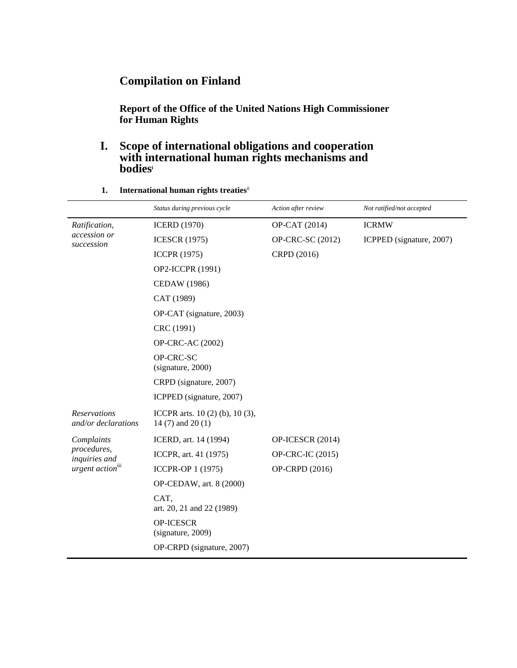### **Compilation on Finland**

**Report of the Office of the United Nations High Commissioner for Human Rights**

### **I. Scope of international obligations and cooperation with international human rights mechanisms and bodies<sup>i</sup>**

|                                                                            | Status during previous cycle                                | Action after review | Not ratified/not accepted |
|----------------------------------------------------------------------------|-------------------------------------------------------------|---------------------|---------------------------|
| Ratification,<br>accession or<br>succession                                | <b>ICERD</b> (1970)                                         | OP-CAT (2014)       | <b>ICRMW</b>              |
|                                                                            | <b>ICESCR (1975)</b>                                        | OP-CRC-SC (2012)    | ICPPED (signature, 2007)  |
|                                                                            | <b>ICCPR</b> (1975)                                         | CRPD (2016)         |                           |
|                                                                            | OP2-ICCPR (1991)                                            |                     |                           |
|                                                                            | <b>CEDAW</b> (1986)                                         |                     |                           |
|                                                                            | CAT (1989)                                                  |                     |                           |
|                                                                            | OP-CAT (signature, 2003)                                    |                     |                           |
|                                                                            | CRC (1991)                                                  |                     |                           |
|                                                                            | OP-CRC-AC (2002)                                            |                     |                           |
|                                                                            | OP-CRC-SC<br>(signature, 2000)                              |                     |                           |
|                                                                            | CRPD (signature, 2007)                                      |                     |                           |
|                                                                            | ICPPED (signature, 2007)                                    |                     |                           |
| <b>Reservations</b><br>and/or declarations                                 | ICCPR arts. $10(2)$ (b), $10(3)$ ,<br>14 $(7)$ and 20 $(1)$ |                     |                           |
| Complaints<br>procedures,<br>inquiries and<br>urgent action <sup>iii</sup> | ICERD, art. 14 (1994)                                       | OP-ICESCR (2014)    |                           |
|                                                                            | ICCPR, art. 41 (1975)                                       | OP-CRC-IC (2015)    |                           |
|                                                                            | ICCPR-OP 1 (1975)                                           | OP-CRPD (2016)      |                           |
|                                                                            | OP-CEDAW, art. 8 (2000)                                     |                     |                           |
|                                                                            | CAT,<br>art. 20, 21 and 22 (1989)                           |                     |                           |
|                                                                            | <b>OP-ICESCR</b><br>(signature, 2009)                       |                     |                           |
|                                                                            | OP-CRPD (signature, 2007)                                   |                     |                           |

**1. International human rights treaties**ii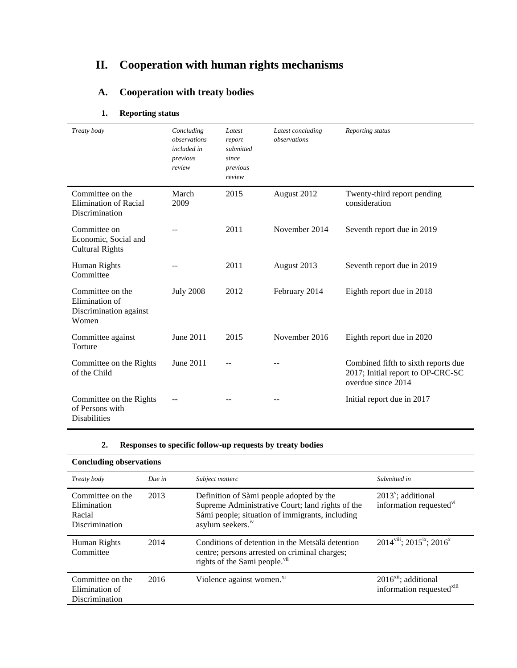# **II. Cooperation with human rights mechanisms**

# **A. Cooperation with treaty bodies**

| Treaty body                                                           | Concluding<br>observations<br>included in<br>previous<br>review | Latest<br>report<br>submitted<br>since<br>previous<br>review | Latest concluding<br>observations | Reporting status                                                                               |
|-----------------------------------------------------------------------|-----------------------------------------------------------------|--------------------------------------------------------------|-----------------------------------|------------------------------------------------------------------------------------------------|
| Committee on the<br><b>Elimination of Racial</b><br>Discrimination    | March<br>2009                                                   | 2015                                                         | August 2012                       | Twenty-third report pending<br>consideration                                                   |
| Committee on<br>Economic, Social and<br><b>Cultural Rights</b>        |                                                                 | 2011                                                         | November 2014                     | Seventh report due in 2019                                                                     |
| Human Rights<br>Committee                                             |                                                                 | 2011                                                         | August 2013                       | Seventh report due in 2019                                                                     |
| Committee on the<br>Elimination of<br>Discrimination against<br>Women | <b>July 2008</b>                                                | 2012                                                         | February 2014                     | Eighth report due in 2018                                                                      |
| Committee against<br>Torture                                          | June 2011                                                       | 2015                                                         | November 2016                     | Eighth report due in 2020                                                                      |
| Committee on the Rights<br>of the Child                               | June 2011                                                       |                                                              |                                   | Combined fifth to sixth reports due<br>2017; Initial report to OP-CRC-SC<br>overdue since 2014 |
| Committee on the Rights<br>of Persons with<br><b>Disabilities</b>     |                                                                 |                                                              |                                   | Initial report due in 2017                                                                     |

### **1. Reporting status**

#### **2. Responses to specific follow-up requests by treaty bodies**

| <b>Concluding observations</b>                              |        |                                                                                                                                                                                  |                                                                     |
|-------------------------------------------------------------|--------|----------------------------------------------------------------------------------------------------------------------------------------------------------------------------------|---------------------------------------------------------------------|
| Treaty body                                                 | Due in | Subject matterc                                                                                                                                                                  | Submitted in                                                        |
| Committee on the<br>Elimination<br>Racial<br>Discrimination | 2013   | Definition of Sàmi people adopted by the<br>Supreme Administrative Court; land rights of the<br>Sámi people; situation of immigrants, including<br>asylum seekers. <sup>iv</sup> | $2013^{\nu}$ ; additional<br>information requested <sup>vi</sup>    |
| Human Rights<br>Committee                                   | 2014   | Conditions of detention in the Metsälä detention<br>centre; persons arrested on criminal charges;<br>rights of the Sami people. <sup>vii</sup>                                   | $2014$ <sup>viii</sup> ; $2015$ <sup>ix</sup> ; $2016$ <sup>x</sup> |
| Committee on the<br>Elimination of<br>Discrimination        | 2016   | Violence against women. <sup>xi</sup>                                                                                                                                            | $2016xii$ ; additional<br>information requested <sup>xiii</sup>     |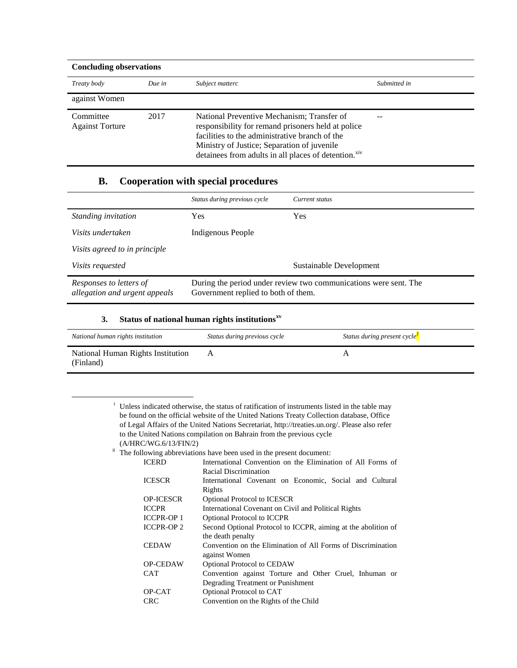| <b>Concluding observations</b>      |        |                                                                                                                                                                                                                                                                       |              |
|-------------------------------------|--------|-----------------------------------------------------------------------------------------------------------------------------------------------------------------------------------------------------------------------------------------------------------------------|--------------|
| Treaty body                         | Due in | Subject matterc                                                                                                                                                                                                                                                       | Submitted in |
| against Women                       |        |                                                                                                                                                                                                                                                                       |              |
| Committee<br><b>Against Torture</b> | 2017   | National Preventive Mechanism; Transfer of<br>responsibility for remand prisoners held at police<br>facilities to the administrative branch of the<br>Ministry of Justice; Separation of juvenile<br>detainees from adults in all places of detention. <sup>xiv</sup> |              |

### **B. Cooperation with special procedures**

|                                                          | Status during previous cycle                                                                            | Current status          |
|----------------------------------------------------------|---------------------------------------------------------------------------------------------------------|-------------------------|
| Standing invitation                                      | Yes                                                                                                     | Yes                     |
| Visits undertaken                                        | Indigenous People                                                                                       |                         |
| Visits agreed to in principle                            |                                                                                                         |                         |
| <i>Visits requested</i>                                  |                                                                                                         | Sustainable Development |
| Responses to letters of<br>allegation and urgent appeals | During the period under review two communications were sent. The<br>Government replied to both of them. |                         |

#### **3. Status of national human rights institutionsxv**

 $\overline{a}$ 

| National human rights institution              | Status during previous cycle | Status during present cycle <sup>1</sup> |
|------------------------------------------------|------------------------------|------------------------------------------|
| National Human Rights Institution<br>(Finland) |                              |                                          |

<sup>i</sup> Unless indicated otherwise, the status of ratification of instruments listed in the table may be found on the official website of the United Nations Treaty Collection database, Office of Legal Affairs of the United Nations Secretariat, [http://treaties.un.org/.](http://treaties.un.org/) Please also refer to the United Nations compilation on Bahrain from the previous cycle (A/HRC/WG.6/13/FIN/2)

 $\frac{1}{2}$  The following abbreviations have been used in the present document:

| <b>ICERD</b>      | International Convention on the Elimination of All Forms of   |  |
|-------------------|---------------------------------------------------------------|--|
|                   | Racial Discrimination                                         |  |
| <b>ICESCR</b>     | International Covenant on Economic, Social and Cultural       |  |
|                   | Rights                                                        |  |
| <b>OP-ICESCR</b>  | <b>Optional Protocol to ICESCR</b>                            |  |
| <b>ICCPR</b>      | International Covenant on Civil and Political Rights          |  |
| <b>ICCPR-OP 1</b> | <b>Optional Protocol to ICCPR</b>                             |  |
| <b>ICCPR-OP2</b>  | Second Optional Protocol to ICCPR, aiming at the abolition of |  |
|                   | the death penalty                                             |  |
| CEDAW             | Convention on the Elimination of All Forms of Discrimination  |  |
|                   | against Women                                                 |  |
| <b>OP-CEDAW</b>   | <b>Optional Protocol to CEDAW</b>                             |  |
| CAT <sup>.</sup>  | Convention against Torture and Other Cruel, Inhuman or        |  |
|                   | Degrading Treatment or Punishment                             |  |
| OP-CAT            | Optional Protocol to CAT                                      |  |
| CRC               | Convention on the Rights of the Child                         |  |
|                   |                                                               |  |